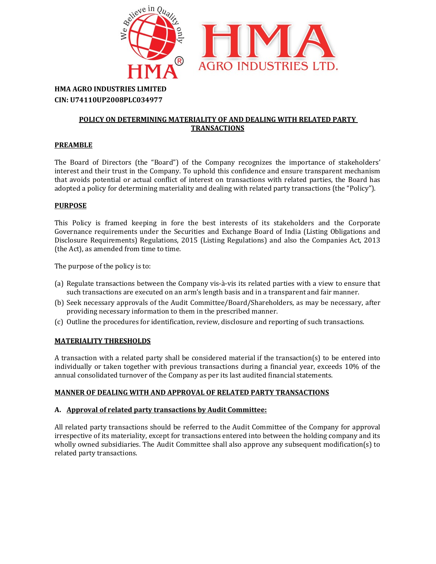

# HMA AGRO INDUSTRIES LIMITED CIN: U74110UP2008PLC034977

### POLICY ON DETERMINING MATERIALITY OF AND DEALING WITH RELATED PARTY TRANSACTIONS

## **PREAMBLE**

The Board of Directors (the "Board") of the Company recognizes the importance of stakeholders' interest and their trust in the Company. To uphold this confidence and ensure transparent mechanism that avoids potential or actual conflict of interest on transactions with related parties, the Board has adopted a policy for determining materiality and dealing with related party transactions (the "Policy").

## **PURPOSE**

This Policy is framed keeping in fore the best interests of its stakeholders and the Corporate Governance requirements under the Securities and Exchange Board of India (Listing Obligations and Disclosure Requirements) Regulations, 2015 (Listing Regulations) and also the Companies Act, 2013 (the Act), as amended from time to time.

The purpose of the policy is to:

- (a) Regulate transactions between the Company vis-à-vis its related parties with a view to ensure that such transactions are executed on an arm's length basis and in a transparent and fair manner.
- (b) Seek necessary approvals of the Audit Committee/Board/Shareholders, as may be necessary, after providing necessary information to them in the prescribed manner.
- (c) Outline the procedures for identification, review, disclosure and reporting of such transactions.

#### MATERIALITY THRESHOLDS

A transaction with a related party shall be considered material if the transaction(s) to be entered into individually or taken together with previous transactions during a financial year, exceeds 10% of the annual consolidated turnover of the Company as per its last audited financial statements.

#### MANNER OF DEALING WITH AND APPROVAL OF RELATED PARTY TRANSACTIONS

#### A. Approval of related party transactions by Audit Committee:

All related party transactions should be referred to the Audit Committee of the Company for approval irrespective of its materiality, except for transactions entered into between the holding company and its wholly owned subsidiaries. The Audit Committee shall also approve any subsequent modification(s) to related party transactions.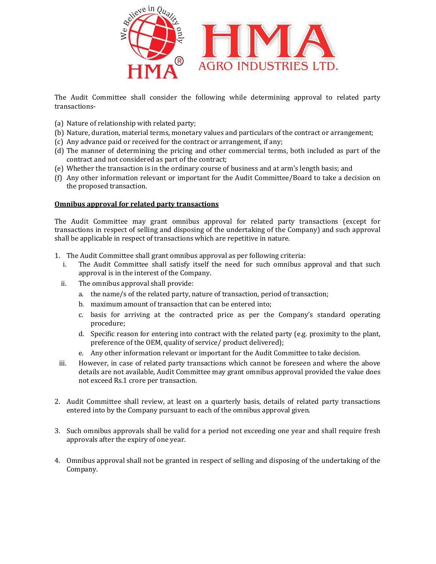

The Audit Committee shall consider the following while determining approval to related party transactions-

- (a) Nature of relationship with related party;
- (b) Nature, duration, material terms, monetary values and particulars of the contract or arrangement;
- (c) Any advance paid or received for the contract or arrangement, if any;
- (d) The manner of determining the pricing and other commercial terms, both included as part of the contract and not considered as part of the contract;
- (e) Whether the transaction is in the ordinary course of business and at arm's length basis; and
- (f) Any other information relevant or important for the Audit Committee/Board to take a decision on the proposed transaction.

#### Omnibus approval for related party transactions

The Audit Committee may grant omnibus approval for related party transactions (except for transactions in respect of selling and disposing of the undertaking of the Company) and such approval shall be applicable in respect of transactions which are repetitive in nature.

- 1. The Audit Committee shall grant omnibus approval as per following criteria:
	- i. The Audit Committee shall satisfy itself the need for such omnibus approval and that such approval is in the interest of the Company.
	- ii. The omnibus approval shall provide:
		- a. the name/s of the related party, nature of transaction, period of transaction;
		- b. maximum amount of transaction that can be entered into;
		- c. basis for arriving at the contracted price as per the Company's standard operating procedure;
		- d. Specific reason for entering into contract with the related party (e.g. proximity to the plant, preference of the OEM, quality of service/ product delivered);
		- e. Any other information relevant or important for the Audit Committee to take decision.
- iii. However, in case of related party transactions which cannot be foreseen and where the above details are not available, Audit Committee may grant omnibus approval provided the value does not exceed Rs.1 crore per transaction.
- 2. Audit Committee shall review, at least on a quarterly basis, details of related party transactions entered into by the Company pursuant to each of the omnibus approval given.
- 3. Such omnibus approvals shall be valid for a period not exceeding one year and shall require fresh approvals after the expiry of one year.
- 4. Omnibus approval shall not be granted in respect of selling and disposing of the undertaking of the Company.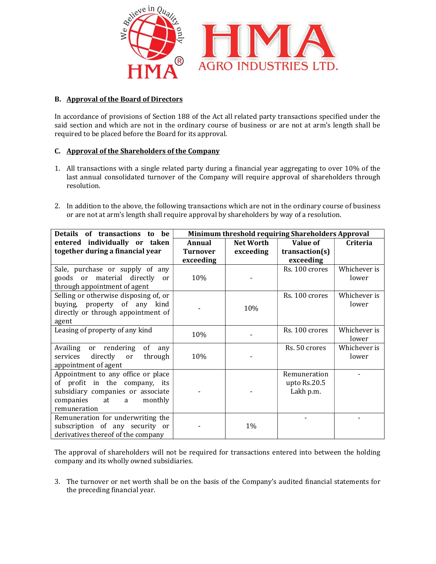

## B. Approval of the Board of Directors

In accordance of provisions of Section 188 of the Act all related party transactions specified under the said section and which are not in the ordinary course of business or are not at arm's length shall be required to be placed before the Board for its approval.

## C. Approval of the Shareholders of the Company

- 1. All transactions with a single related party during a financial year aggregating to over 10% of the last annual consolidated turnover of the Company will require approval of shareholders through resolution.
- 2. In addition to the above, the following transactions which are not in the ordinary course of business or are not at arm's length shall require approval by shareholders by way of a resolution.

| Details of transactions<br>be<br>to                                                                                                                         | Minimum threshold requiring Shareholders Approval |                               |                                           |                       |
|-------------------------------------------------------------------------------------------------------------------------------------------------------------|---------------------------------------------------|-------------------------------|-------------------------------------------|-----------------------|
| entered individually or taken<br>together during a financial year                                                                                           | Annual<br><b>Turnover</b><br>exceeding            | <b>Net Worth</b><br>exceeding | Value of<br>transaction(s)<br>exceeding   | Criteria              |
| Sale, purchase or supply of any<br>goods or material directly<br>$\alpha$<br>through appointment of agent                                                   | 10%                                               |                               | Rs. 100 crores                            | Whichever is<br>lower |
| Selling or otherwise disposing of, or<br>buying, property of any<br>kind<br>directly or through appointment of<br>agent                                     |                                                   | 10%                           | Rs. 100 crores                            | Whichever is<br>lower |
| Leasing of property of any kind                                                                                                                             | 10%                                               |                               | Rs. 100 crores                            | Whichever is<br>lower |
| Availing<br>of<br>rendering<br>or<br>any<br>directly<br>services<br>through<br>or<br>appointment of agent                                                   | 10%                                               |                               | Rs. 50 crores                             | Whichever is<br>lower |
| Appointment to any office or place<br>of profit in the company, its<br>subsidiary companies or associate<br>companies<br>at<br>monthly<br>a<br>remuneration |                                                   |                               | Remuneration<br>upto Rs.20.5<br>Lakh p.m. |                       |
| Remuneration for underwriting the<br>subscription of any security or<br>derivatives thereof of the company                                                  |                                                   | 1%                            |                                           |                       |

The approval of shareholders will not be required for transactions entered into between the holding company and its wholly owned subsidiaries.

3. The turnover or net worth shall be on the basis of the Company's audited financial statements for the preceding financial year.